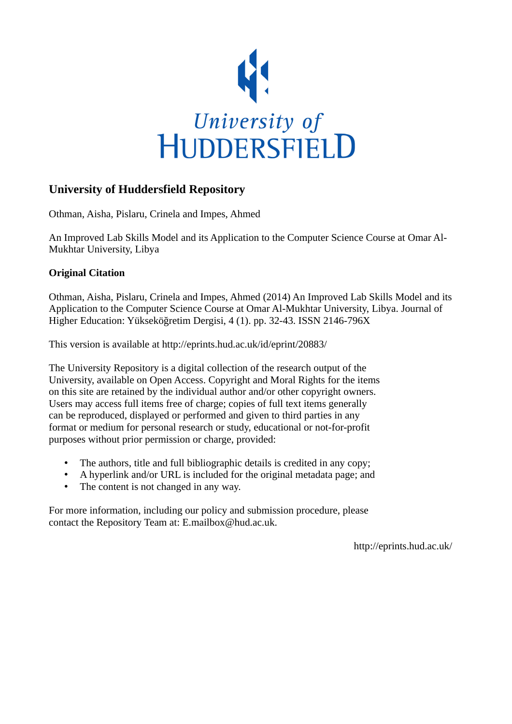

# **University of Huddersfield Repository**

Othman, Aisha, Pislaru, Crinela and Impes, Ahmed

An Improved Lab Skills Model and its Application to the Computer Science Course at Omar Al-Mukhtar University, Libya

# **Original Citation**

Othman, Aisha, Pislaru, Crinela and Impes, Ahmed (2014) An Improved Lab Skills Model and its Application to the Computer Science Course at Omar Al-Mukhtar University, Libya. Journal of Higher Education: Yükseköğretim Dergisi, 4 (1). pp. 32-43. ISSN 2146-796X

This version is available at http://eprints.hud.ac.uk/id/eprint/20883/

The University Repository is a digital collection of the research output of the University, available on Open Access. Copyright and Moral Rights for the items on this site are retained by the individual author and/or other copyright owners. Users may access full items free of charge; copies of full text items generally can be reproduced, displayed or performed and given to third parties in any format or medium for personal research or study, educational or not-for-profit purposes without prior permission or charge, provided:

- The authors, title and full bibliographic details is credited in any copy;
- A hyperlink and/or URL is included for the original metadata page; and
- The content is not changed in any way.

For more information, including our policy and submission procedure, please contact the Repository Team at: E.mailbox@hud.ac.uk.

http://eprints.hud.ac.uk/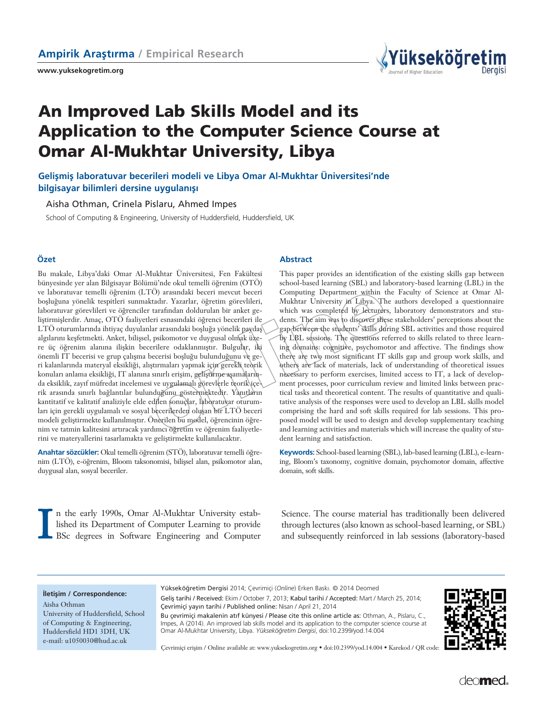**www.yuksekogretim.org**



# **An Improved Lab Skills Model and its Application to the Computer Science Course at Omar Al-Mukhtar University, Libya**

Gelismis laboratuvar becerileri modeli ve Libya Omar Al-Mukhtar Üniversitesi'nde **bilgisayar bilimleri dersine uygulanışı** 

Aisha Othman, Crinela Pislaru, Ahmed Impes

School of Computing & Engineering, University of Huddersfield, Huddersfield, UK

Bu makale, Libya'daki Omar Al-Mukhtar Üniversitesi, Fen Fakültesi bünyesinde yer alan Bilgisayar Bölümü'nde okul temelli öğrenim (OTÖ) ve laboratuvar temelli öğrenim (LTÖ) arasındaki beceri mevcut beceri boşluğuna yönelik tespitleri sunmaktadır. Yazarlar, öğretim görevlileri, laboratuvar görevlileri ve öğrenciler tarafından doldurulan bir anket geliştirmişlerdir. Amaç, OTÖ faaliyetleri esnasındaki öğrenci becerileri ile LTÖ oturumlarında ihtiyaç duyulanlar arasındaki boşluğa yönelik paydaş algılarını keşfetmekti. Anket, bilişsel, psikomotor ve duygusal olmak üzere üç öğrenim alanına ilişkin becerilere odaklanmıştır. Bulgular, iki önemli IT becerisi ve grup çalışma becerisi boşluğu bulunduğunu ve geri kalanlarında materyal eksikliği, alıştırmaları yapmak için gerekli teorik konuları anlama eksikliği, IT alanına sınırlı erişim, geliştirme aşamalarında eksiklik, zayıf müfredat incelemesi ve uygulamalı görevlerle teorik içerik arasında sınırlı bağlantılar bulunduğunu göstermektedir. Yanıtların kantitatif ve kalitatif analiziyle elde edilen sonuçlar, laboratuvar oturumları için gerekli uygulamalı ve sosyal becerilerden oluşan bir LTÖ beceri modeli geliştirmekte kullanılmıştır. Önerilen bu mødel, öğrencinin öğrenim ve tatmin kalitesini artıracak yardımcı öğretim ve öğrenim faaliyetlerini ve materyallerini tasarlamakta ve geliştirmekte kullanılacaktır.

Anahtar sözcükler: Okul temelli öğrenim (STÖ), laboratuvar temelli öğrenim (LTÖ), e-öğrenim, Bloom taksonomisi, bilişsel alan, psikomotor alan, duygusal alan, sosyal beceriler.

#### **Özet Abstract**

This paper provides an identification of the existing skills gap between school-based learning (SBL) and laboratory-based learning (LBL) in the Computing Department within the Faculty of Science at Omar Al-Mukhtar University in Libya. The authors developed a questionnaire which was completed by lecturers, laboratory demonstrators and students. The aim was to discover these stakeholders' perceptions about the gap between the students' skills during SBL activities and those required by LBL sessions. The questions referred to skills related to three learning domains: cognitive, psychomotor and affective. The findings show there are two most significant IT skills gap and group work skills, and others are lack of materials, lack of understanding of theoretical issues necessary to perform exercises, limited access to IT, a lack of development processes, poor curriculum review and limited links between practical tasks and theoretical content. The results of quantitative and qualitative analysis of the responses were used to develop an LBL skills model comprising the hard and soft skills required for lab sessions. This proposed model will be used to design and develop supplementary teaching and learning activities and materials which will increase the quality of student learning and satisfaction.

**Keywords:** School-based learning (SBL), lab-based learning (LBL), e-learning, Bloom's taxonomy, cognitive domain, psychomotor domain, affective domain, soft skills.

I n the early 1990s, Omar Al-Mukhtar University established its Department of Computer Learning to provide BSc degrees in Software Engineering and Computer

Science. The course material has traditionally been delivered through lectures (also known as school-based learning, or SBL) and subsequently reinforced in lab sessions (laboratory-based

#### **iletisim / Correspondence:**

Aisha Othman University of Huddersfield, School of Computing & Engineering, Huddersfield HD1 3DH, UK e-mail: u1050030@hud.ac.uk

Yükseköğretim Dergisi 2014; Çevrimiçi (Online) Erken Baskı. © 2014 Deomed Geliş tarihi / Received: Ekim / October 7, 2013; Kabul tarihi / Accepted: Mart / March 25, 2014; Çevrimiçi yayın tarihi / Published online: Nisan / April 21, 2014

Bu çevrimiçi makalenin atıf künyesi / Please cite this online article as: Othman, A., Pislaru, C., Impes, A (2014). An improved lab skills model and its application to the computer science course at Omar Al-Mukhtar University, Libya. *Yüksekö¤retim Dergisi*, doi:10.2399/yod.14.004



Çevrimiçi eriflim / Online available at: www.yuksekogretim.org • doi:10.2399/yod.14.004 • Karekod / QR code:

deo**med**.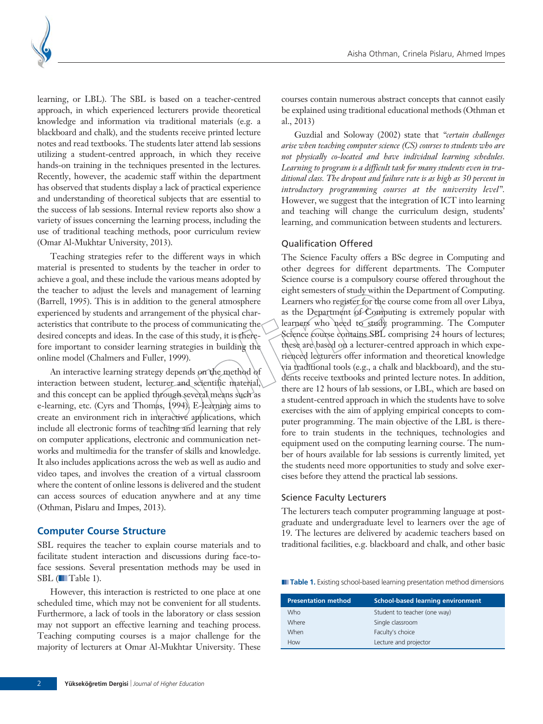

learning, or LBL). The SBL is based on a teacher-centred approach, in which experienced lecturers provide theoretical knowledge and information via traditional materials (e.g. a blackboard and chalk), and the students receive printed lecture notes and read textbooks. The students later attend lab sessions utilizing a student-centred approach, in which they receive hands-on training in the techniques presented in the lectures. Recently, however, the academic staff within the department has observed that students display a lack of practical experience and understanding of theoretical subjects that are essential to the success of lab sessions. Internal review reports also show a variety of issues concerning the learning process, including the use of traditional teaching methods, poor curriculum review (Omar Al-Mukhtar University, 2013).

Teaching strategies refer to the different ways in which material is presented to students by the teacher in order to achieve a goal, and these include the various means adopted by the teacher to adjust the levels and management of learning (Barrell, 1995). This is in addition to the general atmosphere experienced by students and arrangement of the physical characteristics that contribute to the process of communicating the desired concepts and ideas. In the case of this study, it is therefore important to consider learning strategies in building the online model (Chalmers and Fuller, 1999).

An interactive learning strategy depends on the method of interaction between student, lecturer and scientific material, and this concept can be applied through several means such as e-learning, etc. (Cyrs and Thomas, 1994). E-learning aims to create an environment rich in interactive applications, which include all electronic forms of teaching and learning that rely on computer applications, electronic and communication networks and multimedia for the transfer of skills and knowledge. It also includes applications across the web as well as audio and video tapes, and involves the creation of a virtual classroom where the content of online lessons is delivered and the student can access sources of education anywhere and at any time (Othman, Pislaru and Impes, 2013).

#### **Computer Course Structure**

SBL requires the teacher to explain course materials and to facilitate student interaction and discussions during face-toface sessions. Several presentation methods may be used in SBL (■Table 1).

However, this interaction is restricted to one place at one scheduled time, which may not be convenient for all students. Furthermore, a lack of tools in the laboratory or class session may not support an effective learning and teaching process. Teaching computing courses is a major challenge for the majority of lecturers at Omar Al-Mukhtar University. These

courses contain numerous abstract concepts that cannot easily be explained using traditional educational methods (Othman et al., 2013)

Guzdial and Soloway (2002) state that *"certain challenges arise when teaching computer science (CS) courses to students who are not physically co-located and have individual learning schedules. Learning to program is a difficult task for many students even in traditional class. The dropout and failure rate is as high as 30 percent in introductory programming courses at the university level".* However, we suggest that the integration of ICT into learning and teaching will change the curriculum design, students' learning, and communication between students and lecturers.

#### Qualification Offered

The Science Faculty offers a BSc degree in Computing and other degrees for different departments. The Computer Science course is a compulsory course offered throughout the eight semesters of study within the Department of Computing. Learners who register for the course come from all over Libya, as the Department of Computing is extremely popular with learners who need to study programming. The Computer Science course contains SBL comprising 24 hours of lectures; these are based on a lecturer-centred approach in which experienced lecturers offer information and theoretical knowledge via traditional tools (e.g., a chalk and blackboard), and the students receive textbooks and printed lecture notes. In addition, there are 12 hours of lab sessions, or LBL, which are based on a student-centred approach in which the students have to solve exercises with the aim of applying empirical concepts to computer programming. The main objective of the LBL is therefore to train students in the techniques, technologies and equipment used on the computing learning course. The number of hours available for lab sessions is currently limited, yet the students need more opportunities to study and solve exercises before they attend the practical lab sessions.

#### Science Faculty Lecturers

The lecturers teach computer programming language at postgraduate and undergraduate level to learners over the age of 19. The lectures are delivered by academic teachers based on traditional facilities, e.g. blackboard and chalk, and other basic

**■ Table 1.** Existing school-based learning presentation method dimensions

| School-based learning environment |
|-----------------------------------|
| Student to teacher (one way)      |
| Single classroom                  |
| Faculty's choice                  |
| Lecture and projector             |
|                                   |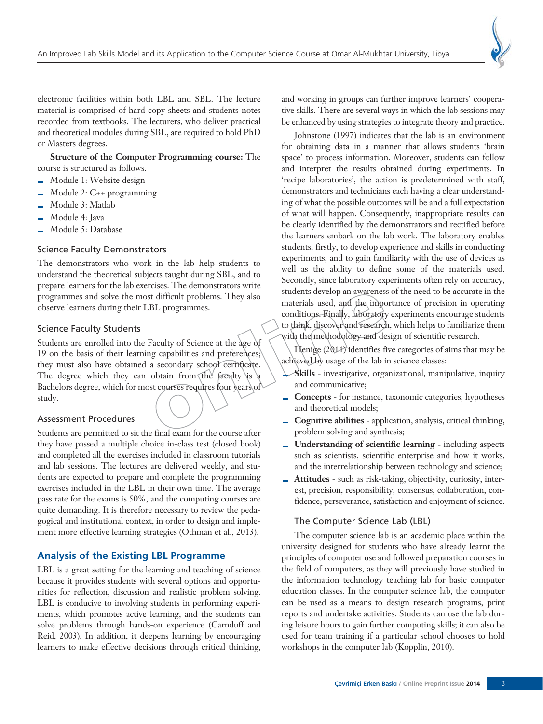electronic facilities within both LBL and SBL. The lecture material is comprised of hard copy sheets and students notes recorded from textbooks. The lecturers, who deliver practical and theoretical modules during SBL, are required to hold PhD or Masters degrees.

**Structure of the Computer Programming course:** The course is structured as follows.

- Module 1: Website design i.
- Module 2: C++ programming
- Module 3: Matlab ц.
- Module 4: Java  $\overline{\phantom{0}}$
- Module 5: Database

#### Science Faculty Demonstrators

The demonstrators who work in the lab help students to understand the theoretical subjects taught during SBL, and to prepare learners for the lab exercises. The demonstrators write programmes and solve the most difficult problems. They also observe learners during their LBL programmes.

#### Science Faculty Students

Students are enrolled into the Faculty of Science at the age of 19 on the basis of their learning capabilities and preferences; they must also have obtained a secondary school certificate. The degree which they can obtain from the faculty is  $\frac{1}{2}$ Bachelors degree, which for most courses requires four years of study.

#### Assessment Procedures

Students are permitted to sit the final exam for the course after they have passed a multiple choice in-class test (closed book) and completed all the exercises included in classroom tutorials and lab sessions. The lectures are delivered weekly, and students are expected to prepare and complete the programming exercises included in the LBL in their own time. The average pass rate for the exams is 50%, and the computing courses are quite demanding. It is therefore necessary to review the pedagogical and institutional context, in order to design and implement more effective learning strategies (Othman et al., 2013).

#### **Analysis of the Existing LBL Programme**

LBL is a great setting for the learning and teaching of science because it provides students with several options and opportunities for reflection, discussion and realistic problem solving. LBL is conducive to involving students in performing experiments, which promotes active learning, and the students can solve problems through hands-on experience (Carnduff and Reid, 2003). In addition, it deepens learning by encouraging learners to make effective decisions through critical thinking, and working in groups can further improve learners' cooperative skills. There are several ways in which the lab sessions may be enhanced by using strategies to integrate theory and practice.

Johnstone (1997) indicates that the lab is an environment for obtaining data in a manner that allows students 'brain space' to process information. Moreover, students can follow and interpret the results obtained during experiments. In 'recipe laboratories', the action is predetermined with staff, demonstrators and technicians each having a clear understanding of what the possible outcomes will be and a full expectation of what will happen. Consequently, inappropriate results can be clearly identified by the demonstrators and rectified before the learners embark on the lab work. The laboratory enables students, firstly, to develop experience and skills in conducting experiments, and to gain familiarity with the use of devices as well as the ability to define some of the materials used. Secondly, since laboratory experiments often rely on accuracy, students develop an awareness of the need to be accurate in the materials used, and the importance of precision in operating conditions. Finally, laboratory experiments encourage students to think, discover and research, which helps to familiarize them with the methodology and design of scientific research.

Henige (2011) identifies five categories of aims that may be achieved by usage of the lab in science classes:

- **Skills** investigative, organizational, manipulative, inquiry and communicative;
- **Concepts** for instance, taxonomic categories, hypotheses and theoretical models;
- **Cognitive abilities** application, analysis, critical thinking,  $\equiv$ problem solving and synthesis;
- $\mathbf{r}$ **Understanding of scientific learning** - including aspects such as scientists, scientific enterprise and how it works, and the interrelationship between technology and science;
- **Attitudes** such as risk-taking, objectivity, curiosity, interest, precision, responsibility, consensus, collaboration, confidence, perseverance, satisfaction and enjoyment of science.

#### The Computer Science Lab (LBL)

The computer science lab is an academic place within the university designed for students who have already learnt the principles of computer use and followed preparation courses in the field of computers, as they will previously have studied in the information technology teaching lab for basic computer education classes. In the computer science lab, the computer can be used as a means to design research programs, print reports and undertake activities. Students can use the lab during leisure hours to gain further computing skills; it can also be used for team training if a particular school chooses to hold workshops in the computer lab (Kopplin, 2010).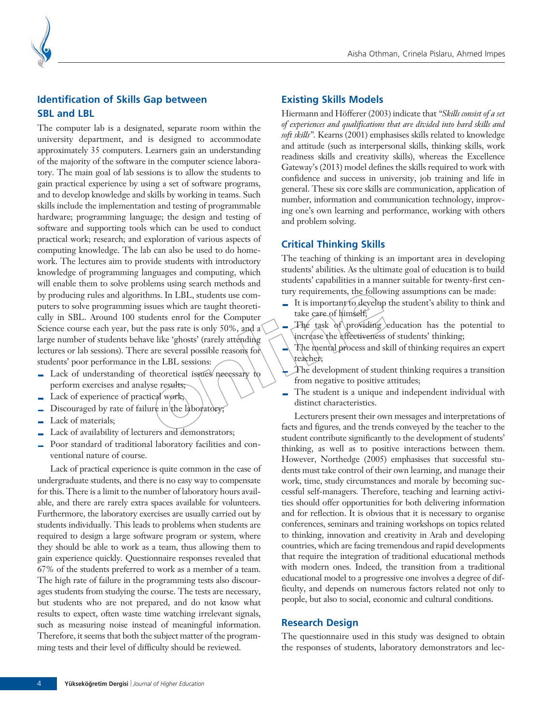

## **Identification of Skills Gap between SBL and LBL**

The computer lab is a designated, separate room within the university department, and is designed to accommodate approximately 35 computers. Learners gain an understanding of the majority of the software in the computer science laboratory. The main goal of lab sessions is to allow the students to gain practical experience by using a set of software programs, and to develop knowledge and skills by working in teams. Such skills include the implementation and testing of programmable hardware; programming language; the design and testing of software and supporting tools which can be used to conduct practical work; research; and exploration of various aspects of computing knowledge. The lab can also be used to do homework. The lectures aim to provide students with introductory knowledge of programming languages and computing, which will enable them to solve problems using search methods and by producing rules and algorithms. In LBL, students use computers to solve programming issues which are taught theoretically in SBL. Around 100 students enrol for the Computer Science course each year, but the pass rate is only 50%, and a large number of students behave like 'ghosts' (rarely attending lectures or lab sessions). There are several possible reasons for students' poor performance in the LBL sessions:

- Lack of understanding of theoretical issues necessary to perform exercises and analyse results;
- $\blacksquare$  Lack of experience of practical work;
- $\blacksquare$  Discouraged by rate of failure in the laboratory;
- Lack of materials;  $\overline{\phantom{a}}$
- Lack of availability of lecturers and demonstrators;
- Poor standard of traditional laboratory facilities and conventional nature of course.

Lack of practical experience is quite common in the case of undergraduate students, and there is no easy way to compensate for this. There is a limit to the number of laboratory hours available, and there are rarely extra spaces available for volunteers. Furthermore, the laboratory exercises are usually carried out by students individually. This leads to problems when students are required to design a large software program or system, where they should be able to work as a team, thus allowing them to gain experience quickly. Questionnaire responses revealed that 67% of the students preferred to work as a member of a team. The high rate of failure in the programming tests also discourages students from studying the course. The tests are necessary, but students who are not prepared, and do not know what results to expect, often waste time watching irrelevant signals, such as measuring noise instead of meaningful information. Therefore, it seems that both the subject matter of the programming tests and their level of difficulty should be reviewed.

#### **Existing Skills Models**

Hiermann and Höfferer (2003) indicate that *"Skills consist of a set of experiences and qualifications that are divided into hard skills and soft skills".* Kearns (2001) emphasises skills related to knowledge and attitude (such as interpersonal skills, thinking skills, work readiness skills and creativity skills), whereas the Excellence Gateway's (2013) model defines the skills required to work with confidence and success in university, job training and life in general. These six core skills are communication, application of number, information and communication technology, improving one's own learning and performance, working with others and problem solving.

### **Critical Thinking Skills**

The teaching of thinking is an important area in developing students' abilities. As the ultimate goal of education is to build students' capabilities in a manner suitable for twenty-first century requirements, the following assumptions can be made:

- $\blacksquare$  It is important to develop the student's ability to think and take care of himself;
- The task of providing education has the potential to increase the effectiveness of students' thinking;
- The mental process and skill of thinking requires an expert teacher;
- The development of student thinking requires a transition from negative to positive attitudes;
- The student is a unique and independent individual with  $\overline{a}$ distinct characteristics.

Lecturers present their own messages and interpretations of facts and figures, and the trends conveyed by the teacher to the student contribute significantly to the development of students' thinking, as well as to positive interactions between them. However, Northedge (2005) emphasises that successful students must take control of their own learning, and manage their work, time, study circumstances and morale by becoming successful self-managers. Therefore, teaching and learning activities should offer opportunities for both delivering information and for reflection. It is obvious that it is necessary to organise conferences, seminars and training workshops on topics related to thinking, innovation and creativity in Arab and developing countries, which are facing tremendous and rapid developments that require the integration of traditional educational methods with modern ones. Indeed, the transition from a traditional educational model to a progressive one involves a degree of difficulty, and depends on numerous factors related not only to people, but also to social, economic and cultural conditions.

#### **Research Design**

The questionnaire used in this study was designed to obtain the responses of students, laboratory demonstrators and lec-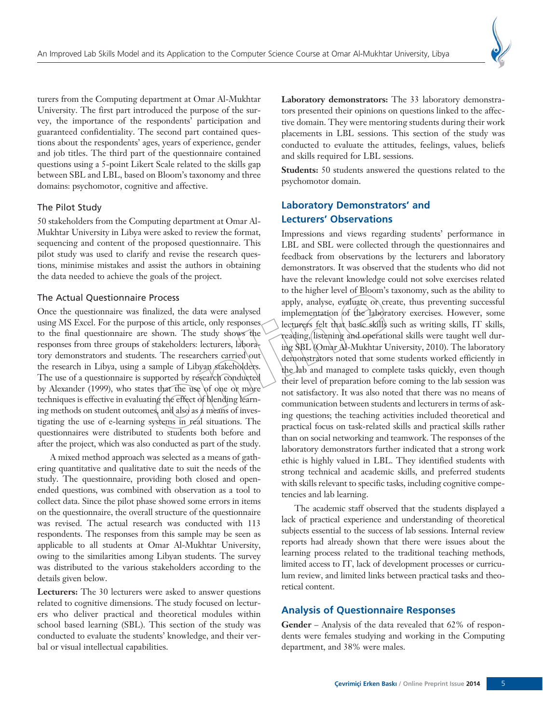

turers from the Computing department at Omar Al-Mukhtar University. The first part introduced the purpose of the survey, the importance of the respondents' participation and guaranteed confidentiality. The second part contained questions about the respondents' ages, years of experience, gender and job titles. The third part of the questionnaire contained questions using a 5-point Likert Scale related to the skills gap between SBL and LBL, based on Bloom's taxonomy and three domains: psychomotor, cognitive and affective.

#### The Pilot Study

50 stakeholders from the Computing department at Omar Al-Mukhtar University in Libya were asked to review the format, sequencing and content of the proposed questionnaire. This pilot study was used to clarify and revise the research questions, minimise mistakes and assist the authors in obtaining the data needed to achieve the goals of the project.

#### The Actual Questionnaire Process

Once the questionnaire was finalized, the data were analysed using MS Excel. For the purpose of this article, only responses to the final questionnaire are shown. The study shows the responses from three groups of stakeholders: lecturers, laboratory demonstrators and students. The researchers carried out the research in Libya, using a sample of Libyan stakeholders. The use of a questionnaire is supported by research conducted by Alexander (1999), who states that the use of one or more techniques is effective in evaluating the effect of blending learning methods on student outcomes, and also as a means of investigating the use of e-learning systems in real situations. The questionnaires were distributed to students both before and after the project, which was also conducted as part of the study.

A mixed method approach was selected as a means of gathering quantitative and qualitative date to suit the needs of the study. The questionnaire, providing both closed and openended questions, was combined with observation as a tool to collect data. Since the pilot phase showed some errors in items on the questionnaire, the overall structure of the questionnaire was revised. The actual research was conducted with 113 respondents. The responses from this sample may be seen as applicable to all students at Omar Al-Mukhtar University, owing to the similarities among Libyan students. The survey was distributed to the various stakeholders according to the details given below.

**Lecturers:** The 30 lecturers were asked to answer questions related to cognitive dimensions. The study focused on lecturers who deliver practical and theoretical modules within school based learning (SBL). This section of the study was conducted to evaluate the students' knowledge, and their verbal or visual intellectual capabilities.

**Laboratory demonstrators:** The 33 laboratory demonstrators presented their opinions on questions linked to the affective domain. They were mentoring students during their work placements in LBL sessions. This section of the study was conducted to evaluate the attitudes, feelings, values, beliefs and skills required for LBL sessions.

**Students:** 50 students answered the questions related to the psychomotor domain.

# **Laboratory Demonstrators' and Lecturers' Observations**

Impressions and views regarding students' performance in LBL and SBL were collected through the questionnaires and feedback from observations by the lecturers and laboratory demonstrators. It was observed that the students who did not have the relevant knowledge could not solve exercises related to the higher level of Bloom's taxonomy, such as the ability to apply, analyse, evaluate or create, thus preventing successful implementation of the laboratory exercises. However, some lecturers felt that basic skills such as writing skills, IT skills, reading, listening and operational skills were taught well during SBL (Omar Al-Mukhtar University, 2010). The laboratory demonstrators noted that some students worked efficiently in the lab and managed to complete tasks quickly, even though their level of preparation before coming to the lab session was not satisfactory. It was also noted that there was no means of communication between students and lecturers in terms of asking questions; the teaching activities included theoretical and practical focus on task-related skills and practical skills rather than on social networking and teamwork. The responses of the laboratory demonstrators further indicated that a strong work ethic is highly valued in LBL. They identified students with strong technical and academic skills, and preferred students with skills relevant to specific tasks, including cognitive competencies and lab learning.

The academic staff observed that the students displayed a lack of practical experience and understanding of theoretical subjects essential to the success of lab sessions. Internal review reports had already shown that there were issues about the learning process related to the traditional teaching methods, limited access to IT, lack of development processes or curriculum review, and limited links between practical tasks and theoretical content.

#### **Analysis of Questionnaire Responses**

**Gender** – Analysis of the data revealed that 62% of respondents were females studying and working in the Computing department, and 38% were males.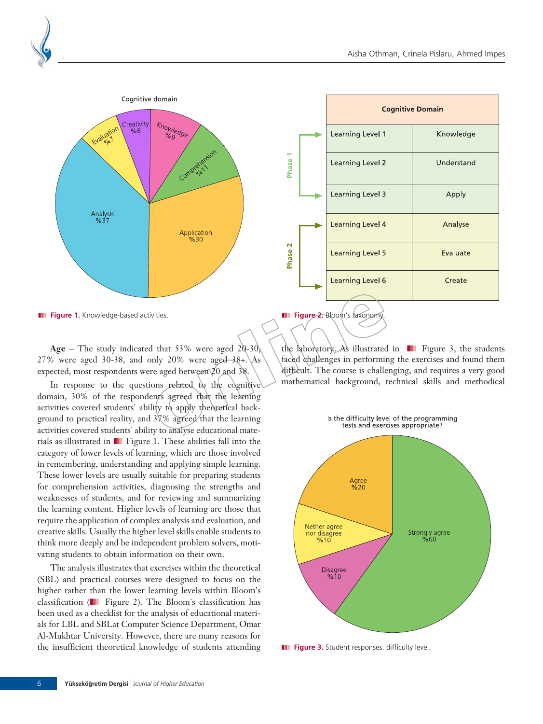

|                                         |  | <b>Cognitive Domain</b> |            |
|-----------------------------------------|--|-------------------------|------------|
|                                         |  | Learning Level 1        | Knowledge  |
| Phase 1                                 |  | Learning Level 2        | Understand |
|                                         |  | Learning Level 3        | Apply      |
|                                         |  | Learning Level 4        | Analyse    |
| Phase 2                                 |  | Learning Level 5        | Evaluate   |
|                                         |  | <b>Learning Level 6</b> | Create     |
| <b>Figure 2.</b> Bloom's taxonomy.<br>ш |  |                         |            |

**III** Figure 1. Knowledge-based activities.

**Age** – The study indicated that 53% were aged 20-30, 27% were aged 30-38, and only 20% were aged  $-38+$ . As expected, most respondents were aged between 20 and 38.

In response to the questions related to the cognitive domain, 30% of the respondents agreed that the learning activities covered students' ability to apply theoretical background to practical reality, and 37% agreed that the learning activities covered students' ability to analyse educational materials as illustrated in ❚❚❚ Figure 1. These abilities fall into the category of lower levels of learning, which are those involved in remembering, understanding and applying simple learning. These lower levels are usually suitable for preparing students for comprehension activities, diagnosing the strengths and weaknesses of students, and for reviewing and summarizing the learning content. Higher levels of learning are those that require the application of complex analysis and evaluation, and creative skills. Usually the higher level skills enable students to think more deeply and be independent problem solvers, motivating students to obtain information on their own.

The analysis illustrates that exercises within the theoretical (SBL) and practical courses were designed to focus on the higher rather than the lower learning levels within Bloom's classification (❚❚❚ Figure 2). The Bloom's classification has been used as a checklist for the analysis of educational materials for LBL and SBLat Computer Science Department, Omar Al-Mukhtar University. However, there are many reasons for the insufficient theoretical knowledge of students attending the laboratory. As illustrated in  $\blacksquare$  Figure 3, the students faced challenges in performing the exercises and found them difficult. The course is challenging, and requires a very good mathematical background, technical skills and methodical



**III** Figure 3. Student responses: difficulty level.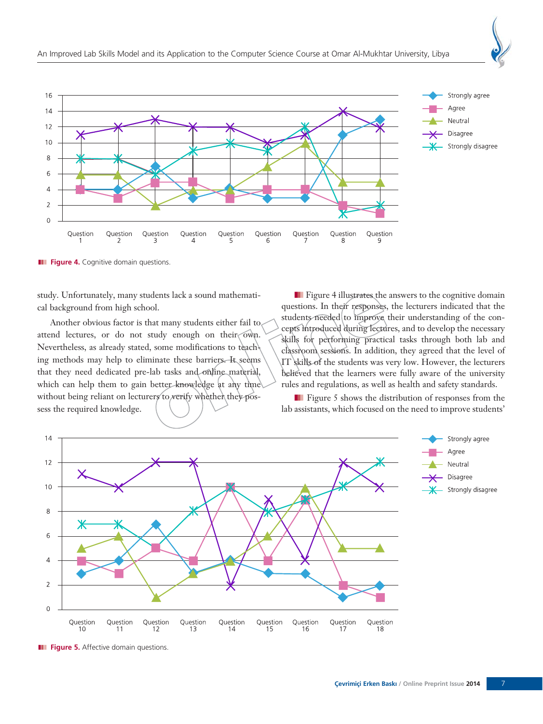

**III** Figure 4. Cognitive domain questions.

study. Unfortunately, many students lack a sound mathematical background from high school.

Another obvious factor is that many students either fail to attend lectures, or do not study enough on their own. Nevertheless, as already stated, some modifications to teaching methods may help to eliminate these barriers. It seems that they need dedicated pre-lab tasks and online material, which can help them to gain better knowledge at any time without being reliant on lecturers to verify whether they possess the required knowledge.

**■ Figure 4 illustrates the answers to the cognitive domain** questions. In their responses, the lecturers indicated that the students needed to improve their understanding of the concepts introduced during lectures, and to develop the necessary skills for performing practical tasks through both lab and classroom sessions. In addition, they agreed that the level of IT skills of the students was very low. However, the lecturers believed that the learners were fully aware of the university rules and regulations, as well as health and safety standards.

**■ Figure 5 shows the distribution of responses from the** lab assistants, which focused on the need to improve students'



**III** Figure 5. Affective domain questions.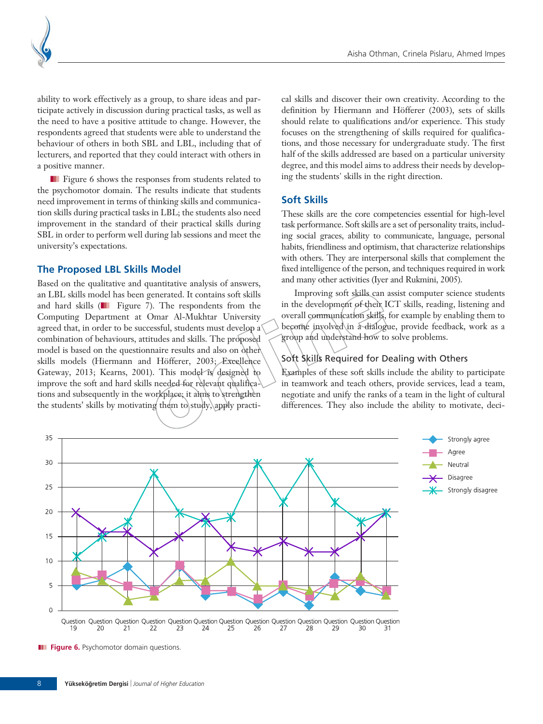

ability to work effectively as a group, to share ideas and participate actively in discussion during practical tasks, as well as the need to have a positive attitude to change. However, the respondents agreed that students were able to understand the behaviour of others in both SBL and LBL, including that of lecturers, and reported that they could interact with others in a positive manner.

**■ Figure 6 shows the responses from students related to** the psychomotor domain. The results indicate that students need improvement in terms of thinking skills and communication skills during practical tasks in LBL; the students also need improvement in the standard of their practical skills during SBL in order to perform well during lab sessions and meet the university's expectations.

#### **The Proposed LBL Skills Model**

Based on the qualitative and quantitative analysis of answers, an LBL skills model has been generated. It contains soft skills and hard skills ( $\Box$  Figure 7). The respondents from the Computing Department at Omar Al-Mukhtar University agreed that, in order to be successful, students must develop a combination of behaviours, attitudes and skills. The proposed model is based on the questionnaire results and also on other skills models (Hiermann and Höfferer, 2003; Excellence Gateway, 2013; Kearns, 2001). This model is designed to improve the soft and hard skills needed for relevant qualifications and subsequently in the workplace; it aims to strengthen the students' skills by motivating them to study, apply practical skills and discover their own creativity. According to the definition by Hiermann and Höfferer (2003), sets of skills should relate to qualifications and/or experience. This study focuses on the strengthening of skills required for qualifications, and those necessary for undergraduate study. The first half of the skills addressed are based on a particular university degree, and this model aims to address their needs by developing the students' skills in the right direction.

#### **Soft Skills**

These skills are the core competencies essential for high-level task performance. Soft skills are a set of personality traits, including social graces, ability to communicate, language, personal habits, friendliness and optimism, that characterize relationships with others. They are interpersonal skills that complement the fixed intelligence of the person, and techniques required in work and many other activities (Iyer and Rukmini, 2005).

Improving soft skills can assist computer science students in the development of their ICT skills, reading, listening and overall communication skills, for example by enabling them to become involved in a dialogue, provide feedback, work as a group and understand how to solve problems.

#### Soft Skills Required for Dealing with Others

Examples of these soft skills include the ability to participate in teamwork and teach others, provide services, lead a team, negotiate and unify the ranks of a team in the light of cultural differences. They also include the ability to motivate, deci-



**III** Figure 6. Psychomotor domain questions.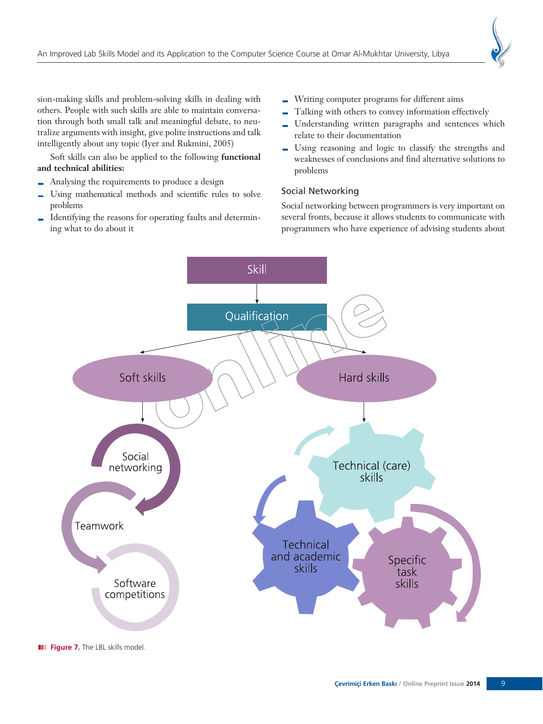sion-making skills and problem-solving skills in dealing with others. People with such skills are able to maintain conversation through both small talk and meaningful debate, to neutralize arguments with insight, give polite instructions and talk intelligently about any topic (Iyer and Rukmini, 2005)

Soft skills can also be applied to the following **functional and technical abilities:**

- Analysing the requirements to produce a design
- Using mathematical methods and scientific rules to solve  $\blacksquare$ problems
- Identifying the reasons for operating faults and determin- $\overline{\phantom{a}}$ ing what to do about it
- Writing computer programs for different aims
- Talking with others to convey information effectively
- Understanding written paragraphs and sentences which relate to their documentation
- Using reasoning and logic to classify the strengths and weaknesses of conclusions and find alternative solutions to problems

#### Social Networking

Social networking between programmers is very important on several fronts, because it allows students to communicate with programmers who have experience of advising students about



**III** Figure 7. The LBL skills model.

9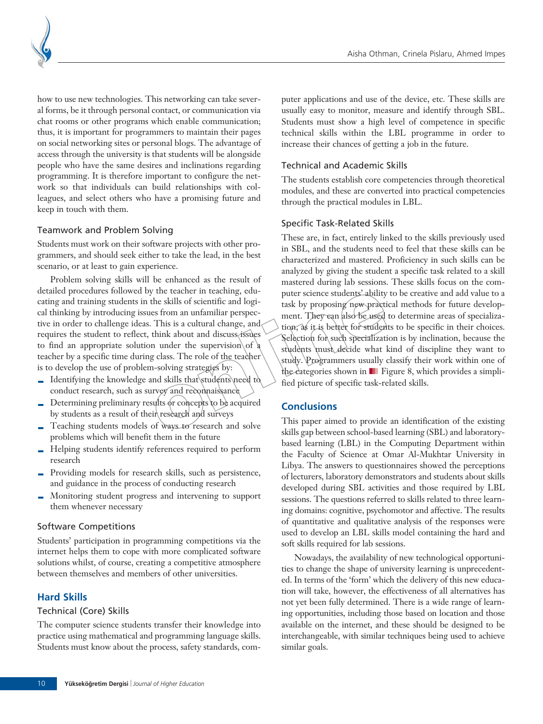

how to use new technologies. This networking can take several forms, be it through personal contact, or communication via chat rooms or other programs which enable communication; thus, it is important for programmers to maintain their pages on social networking sites or personal blogs. The advantage of access through the university is that students will be alongside people who have the same desires and inclinations regarding programming. It is therefore important to configure the network so that individuals can build relationships with colleagues, and select others who have a promising future and keep in touch with them.

#### Teamwork and Problem Solving

Students must work on their software projects with other programmers, and should seek either to take the lead, in the best scenario, or at least to gain experience.

Problem solving skills will be enhanced as the result of detailed procedures followed by the teacher in teaching, educating and training students in the skills of scientific and logical thinking by introducing issues from an unfamiliar perspective in order to challenge ideas. This is a cultural change, and requires the student to reflect, think about and discuss issues to find an appropriate solution under the supervision of  $\alpha$ teacher by a specific time during class. The role of the teacher is to develop the use of problem-solving strategies by:

- $\blacksquare$  Identifying the knowledge and skills that students need to conduct research, such as survey and reconnaissance
- Determining preliminary results or concepts to be acquired by students as a result of their research and surveys
- Teaching students models of ways to research and solve problems which will benefit them in the future
- Helping students identify references required to perform research
- Providing models for research skills, such as persistence, and guidance in the process of conducting research
- Monitoring student progress and intervening to support them whenever necessary

#### Software Competitions

Students' participation in programming competitions via the internet helps them to cope with more complicated software solutions whilst, of course, creating a competitive atmosphere between themselves and members of other universities.

#### **Hard Skills**

#### Technical (Core) Skills

The computer science students transfer their knowledge into practice using mathematical and programming language skills. Students must know about the process, safety standards, computer applications and use of the device, etc. These skills are usually easy to monitor, measure and identify through SBL. Students must show a high level of competence in specific technical skills within the LBL programme in order to increase their chances of getting a job in the future.

#### Technical and Academic Skills

The students establish core competencies through theoretical modules, and these are converted into practical competencies through the practical modules in LBL.

#### Specific Task-Related Skills

These are, in fact, entirely linked to the skills previously used in SBL, and the students need to feel that these skills can be characterized and mastered. Proficiency in such skills can be analyzed by giving the student a specific task related to a skill mastered during lab sessions. These skills focus on the computer science students' ability to be creative and add value to a task by proposing new practical methods for future development. They can also be used to determine areas of specialization, as it is better for students to be specific in their choices. Selection for such specialization is by inclination, because the students must decide what kind of discipline they want to study. Programmers usually classify their work within one of the categories shown in ■ Figure 8, which provides a simplified picture of specific task-related skills.

#### **Conclusions**

This paper aimed to provide an identification of the existing skills gap between school-based learning (SBL) and laboratorybased learning (LBL) in the Computing Department within the Faculty of Science at Omar Al-Mukhtar University in Libya. The answers to questionnaires showed the perceptions of lecturers, laboratory demonstrators and students about skills developed during SBL activities and those required by LBL sessions. The questions referred to skills related to three learning domains: cognitive, psychomotor and affective. The results of quantitative and qualitative analysis of the responses were used to develop an LBL skills model containing the hard and soft skills required for lab sessions.

Nowadays, the availability of new technological opportunities to change the shape of university learning is unprecedented. In terms of the 'form' which the delivery of this new education will take, however, the effectiveness of all alternatives has not yet been fully determined. There is a wide range of learning opportunities, including those based on location and those available on the internet, and these should be designed to be interchangeable, with similar techniques being used to achieve similar goals.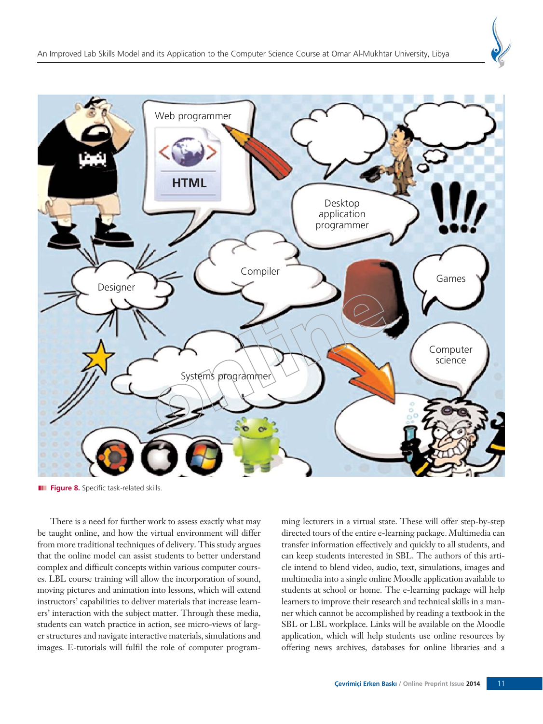



**III** Figure 8. Specific task-related skills.

There is a need for further work to assess exactly what may be taught online, and how the virtual environment will differ from more traditional techniques of delivery. This study argues that the online model can assist students to better understand complex and difficult concepts within various computer courses. LBL course training will allow the incorporation of sound, moving pictures and animation into lessons, which will extend instructors' capabilities to deliver materials that increase learners' interaction with the subject matter. Through these media, students can watch practice in action, see micro-views of larger structures and navigate interactive materials, simulations and images. E-tutorials will fulfil the role of computer programming lecturers in a virtual state. These will offer step-by-step directed tours of the entire e-learning package. Multimedia can transfer information effectively and quickly to all students, and can keep students interested in SBL. The authors of this article intend to blend video, audio, text, simulations, images and multimedia into a single online Moodle application available to students at school or home. The e-learning package will help learners to improve their research and technical skills in a manner which cannot be accomplished by reading a textbook in the SBL or LBL workplace. Links will be available on the Moodle application, which will help students use online resources by offering news archives, databases for online libraries and a